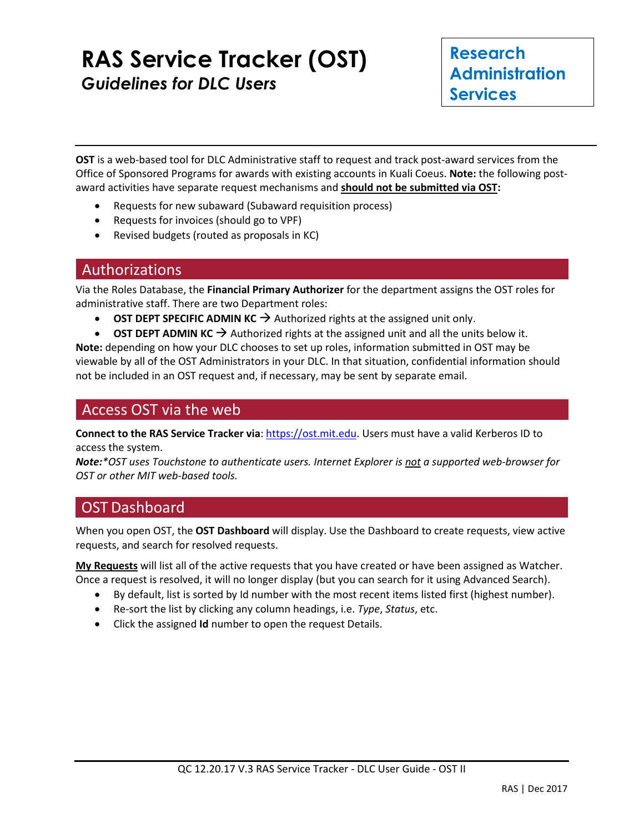# **RAS Service Tracker (OST)** *Guidelines for DLC Users*

**OST** is a web-based tool for DLC Administrative staff to request and track post-award services from the Office of Sponsored Programs for awards with existing accounts in Kuali Coeus. **Note:** the following postaward activities have separate request mechanisms and **should not be submitted via OST:** 

- Requests for new subaward (Subaward requisition process)
- Requests for invoices (should go to VPF)
- Revised budgets (routed as proposals in KC)

#### Authorizations

Via the Roles Database, the **Financial Primary Authorizer** for the department assigns the OST roles for administrative staff. There are two Department roles:

- **OST DEPT SPECIFIC ADMIN KC**  $\rightarrow$  Authorized rights at the assigned unit only.
- **OST DEPT ADMIN KC**  $\rightarrow$  Authorized rights at the assigned unit and all the units below it.

**Note:** depending on how your DLC chooses to set up roles, information submitted in OST may be viewable by all of the OST Administrators in your DLC. In that situation, confidential information should not be included in an OST request and, if necessary, may be sent by separate email.

#### Access OST via the web

**Connect to the RAS Service Tracker via**: [https://ost.mit.edu.](https://ost.mit.edu/) Users must have a valid Kerberos ID to access the system.

*Note:\*OST uses Touchstone to authenticate users. Internet Explorer is not a supported web-browser for OST or other MIT web-based tools.*

#### OST Dashboard

When you open OST, the **OST Dashboard** will display. Use the Dashboard to create requests, view active requests, and search for resolved requests.

**My Requests** will list all of the active requests that you have created or have been assigned as Watcher. Once a request is resolved, it will no longer display (but you can search for it using Advanced Search).

- By default, list is sorted by Id number with the most recent items listed first (highest number).
- Re-sort the list by clicking any column headings, i.e. *Type*, *Status*, etc.
- Click the assigned **Id** number to open the request Details.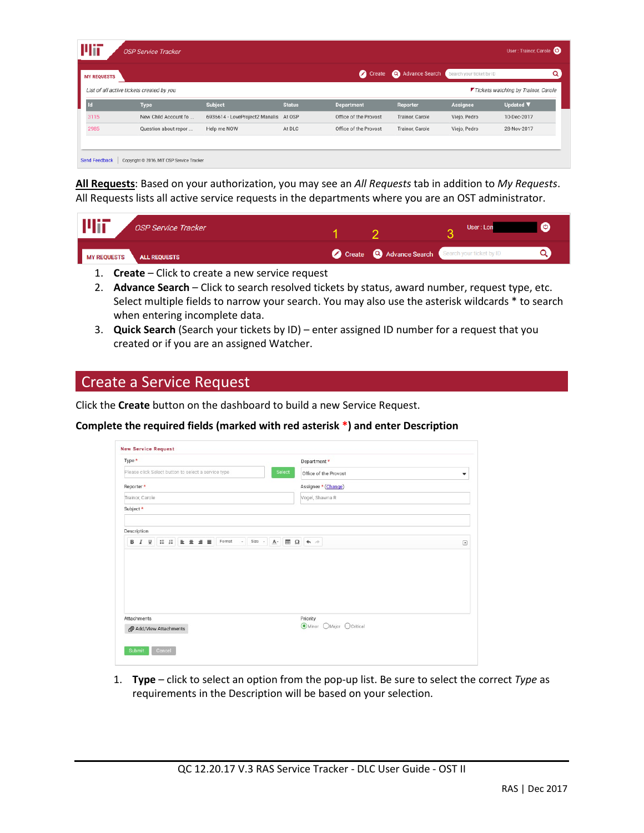| Wit                | <b>OSP Service Tracker</b>                |                                       |               |                       |                 |                          | User: Trainor, Carole               |
|--------------------|-------------------------------------------|---------------------------------------|---------------|-----------------------|-----------------|--------------------------|-------------------------------------|
| <b>MY REQUESTS</b> |                                           |                                       |               | ◙<br>Create           | Advance Search  | Search your ticket by ID | $\Omega$                            |
|                    | List of all active tickets created by you |                                       |               |                       |                 |                          | Tickets watching by Trainor, Carole |
| <b>Id</b>          | <b>Type</b>                               | Subject                               | <b>Status</b> | <b>Department</b>     | Reporter        | Assignee                 | Updated <b>V</b>                    |
| 3115               | New Child Account fo                      | 6936614 - LoveProject2 Manalis At OSP |               | Office of the Provost | Trainor, Carole | Viejo, Pedro             | 10-Dec-2017                         |
| 2985               | Question about repor                      | Help me NOW                           | At DLC        | Office of the Provost | Trainor, Carole | Viejo, Pedro             | 28-Nov-2017                         |
|                    |                                           |                                       |               |                       |                 |                          |                                     |
|                    |                                           |                                       |               |                       |                 |                          |                                     |
| Send Feedback      | Copyright @ 2016, MIT OSP Service Tracker |                                       |               |                       |                 |                          |                                     |

**All Requests**: Based on your authorization, you may see an *All Requests* tab in addition to *My Requests*. All Requests lists all active service requests in the departments where you are an OST administrator.

| <b>Mir</b>         | <b>OSP Service Tracker</b> |                                                         | User: Lon |  |
|--------------------|----------------------------|---------------------------------------------------------|-----------|--|
| <b>MY REQUESTS</b> | <b>ALL REQUESTS</b>        | Create <b>Q</b> Advance Search Search your ticket by ID |           |  |
|                    |                            |                                                         |           |  |

- 1. **Create** Click to create a new service request
- 2. **Advance Search** Click to search resolved tickets by status, award number, request type, etc. Select multiple fields to narrow your search. You may also use the asterisk wildcards \* to search when entering incomplete data.
- 3. **Quick Search** (Search your tickets by ID) enter assigned ID number for a request that you created or if you are an assigned Watcher.

### Create a Service Request

Click the **Create** button on the dashboard to build a new Service Request.

#### **Complete the required fields (marked with red asterisk \*) and enter Description**

| Type *                                              |                                                                                                    | Department *                           |        |
|-----------------------------------------------------|----------------------------------------------------------------------------------------------------|----------------------------------------|--------|
| Please click Select button to select a service type | Select                                                                                             | Office of the Provost                  | ۰      |
| Reporter *                                          |                                                                                                    | Assignee * (Change)                    |        |
| Trainor, Carole                                     |                                                                                                    | Vogel, Shawna R                        |        |
| Subject *                                           |                                                                                                    |                                        |        |
|                                                     |                                                                                                    |                                        |        |
| Description                                         |                                                                                                    |                                        |        |
|                                                     |                                                                                                    |                                        |        |
| U : : E ± d =<br>Format<br>В<br>I                   | - Size - $\underline{\mathbf{A}}$ - $\underline{\mathbf{H}}$ $\Omega$ $\blacktriangle \rightarrow$ |                                        |        |
|                                                     |                                                                                                    |                                        | $\Box$ |
| Attachments<br>Add/View Attachments                 |                                                                                                    | Priority<br>Minor<br>OMajor O Critical |        |

1. **Type** – click to select an option from the pop-up list. Be sure to select the correct *Type* as requirements in the Description will be based on your selection.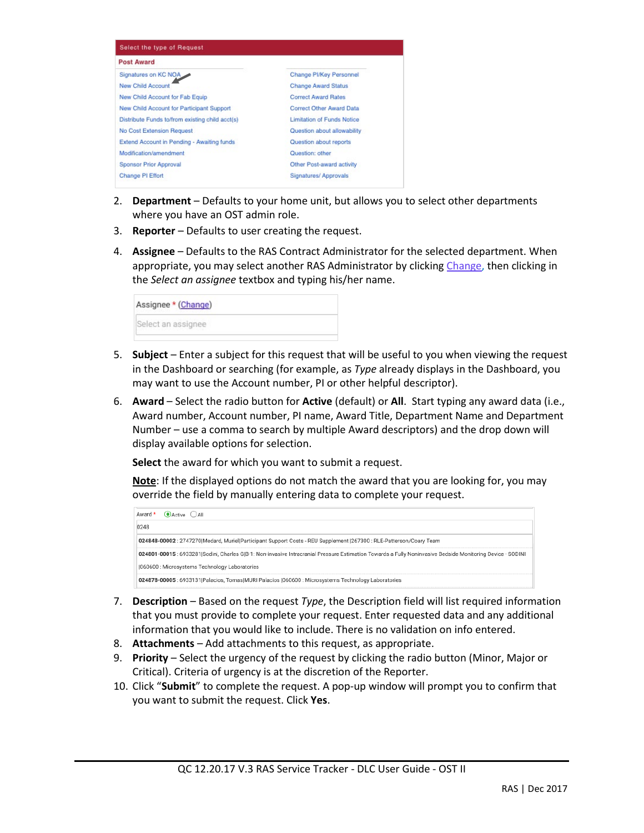

- 2. **Department** Defaults to your home unit, but allows you to select other departments where you have an OST admin role.
- 3. **Reporter** Defaults to user creating the request.
- 4. **Assignee** Defaults to the RAS Contract Administrator for the selected department. When appropriate, you may select another RAS Administrator by clicking Change, then clicking in the *Select an assignee* textbox and typing his/her name.

- 5. **Subject** Enter a subject for this request that will be useful to you when viewing the request in the Dashboard or searching (for example, as *Type* already displays in the Dashboard, you may want to use the Account number, PI or other helpful descriptor).
- 6. **Award** Select the radio button for **Active** (default) or **All**. Start typing any award data (i.e., Award number, Account number, PI name, Award Title, Department Name and Department Number – use a comma to search by multiple Award descriptors) and the drop down will display available options for selection.

**Select** the award for which you want to submit a request.

**Note**: If the displayed options do not match the award that you are looking for, you may override the field by manually entering data to complete your request.

| Award * | $\odot$ Active $\odot$ All                                                                                                                                 |
|---------|------------------------------------------------------------------------------------------------------------------------------------------------------------|
| 0248    |                                                                                                                                                            |
|         | 024848-00002 : 2747270 Medard, Muriel Participant Support Costs - REU Supplement  267300 : RLE-Patterson/Coary Team                                        |
|         | 024801-00015 : 6933281 Sodini, Charles G B-1: Non-invasive Intracranial Pressure Estimation Towards a Fully Noninvasive Bedside Monitoring Device - SODINI |
|         | (060600: Microsystems Technology Laboratories)                                                                                                             |
|         | 024878-00005 : 6933131 Palacios, Tomas MURI Palacios  060600 : Microsystems Technology Laboratories                                                        |

- 7. **Description** Based on the request *Type*, the Description field will list required information that you must provide to complete your request. Enter requested data and any additional information that you would like to include. There is no validation on info entered.
- 8. **Attachments** Add attachments to this request, as appropriate.
- 9. **Priority** Select the urgency of the request by clicking the radio button (Minor, Major or Critical). Criteria of urgency is at the discretion of the Reporter.
- 10. Click "**Submit**" to complete the request. A pop-up window will prompt you to confirm that you want to submit the request. Click **Yes**.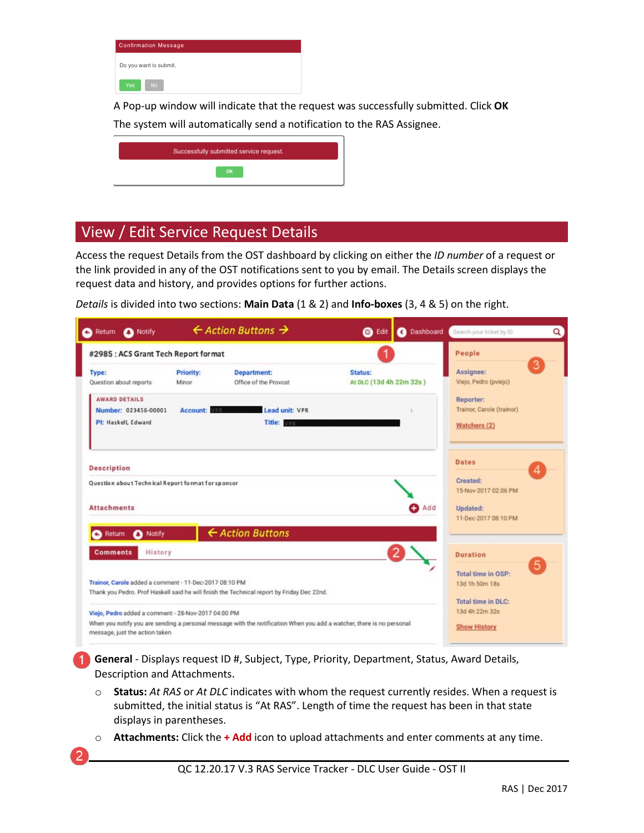| <b>Confirmation Message</b> |
|-----------------------------|
| Do you want to submit.      |
| No<br>Yes                   |

A Pop-up window will indicate that the request was successfully submitted. Click **OK** The system will automatically send a notification to the RAS Assignee.

| Successfully submitted service request. |
|-----------------------------------------|
| <b>OK</b>                               |

## View / Edit Service Request Details

Access the request Details from the OST dashboard by clicking on either the *ID number* of a request or the link provided in any of the OST notifications sent to you by email. The Details screen displays the request data and history, and provides options for further actions.

*Details* is divided into two sections: **Main Data** (1 & 2) and **Info-boxes** (3, 4 & 5) on the right.

| Return A Notify<br>a                                   |                                  | $\leftarrow$ Action Buttons $\rightarrow$                                                                             | <b>C</b> Edit                      |              | C Dashboard Search your ticket by ID        | Q |
|--------------------------------------------------------|----------------------------------|-----------------------------------------------------------------------------------------------------------------------|------------------------------------|--------------|---------------------------------------------|---|
| #2985 : ACS Grant Tech Report format                   |                                  |                                                                                                                       |                                    |              | People                                      |   |
| Type:<br>Question about reports                        | <b>Priority:</b><br><b>Minor</b> | <b>Department:</b><br>Office of the Provost                                                                           | Status:<br>At DLC (13d 4h 22m 32s) |              | Assignee:<br>Viejo, Pedro (pviejo)          | 3 |
| <b>AWARD DETAILS</b><br>Number: 023456-00001           | Account:                         | Lead unit: VPR                                                                                                        |                                    |              | Reporter:<br>Trainor, Carole (trainor)      |   |
| PI: Haskell, Edward                                    |                                  | Title: VPR                                                                                                            |                                    |              | Watchers (2)                                |   |
| <b>Description</b>                                     |                                  |                                                                                                                       |                                    |              | <b>Dates</b>                                | 4 |
| Question about Technical Report format for sponsor     |                                  |                                                                                                                       |                                    |              | Created:<br>15-Nov-2017 02:06 PM            |   |
| <b>Attachments</b>                                     |                                  |                                                                                                                       |                                    | <b>B</b> Add | Updated:<br>11-Dec-2017 08:10 PM            |   |
| Notify<br>Return<br>◠<br>сэ                            |                                  | ← Action Buttons                                                                                                      |                                    |              |                                             |   |
| History<br><b>Comments</b>                             |                                  |                                                                                                                       |                                    |              | <b>Duration</b>                             | 5 |
| Trainor, Carole added a comment - 11-Dec-2017 08:10 PM |                                  | Thank you Pedro. Prof Haskell said he will finish the Technical report by Friday Dec 22nd.                            |                                    |              | Total time in OSP:<br>13d 1h 50m 18s        |   |
| Viejo, Pedro added a comment - 28-Nov-2017 04:00 PM    |                                  |                                                                                                                       |                                    |              | <b>Total time in DLC:</b><br>13d 4h 22m 32s |   |
| message, just the action taken                         |                                  | When you notify you are sending a personal message with the notification When you add a watcher, there is no personal |                                    |              | <b>Show History</b>                         |   |

**1. General** - Displays request ID #, Subject, Type, Priority, Department, Status, Award Details, Description and Attachments.

- o **Status:** *At RAS* or *At DLC* indicates with whom the request currently resides. When a request is submitted, the initial status is "At RAS". Length of time the request has been in that state displays in parentheses.
- o **Attachments:** Click the **+ Add** icon to upload attachments and enter comments at any time.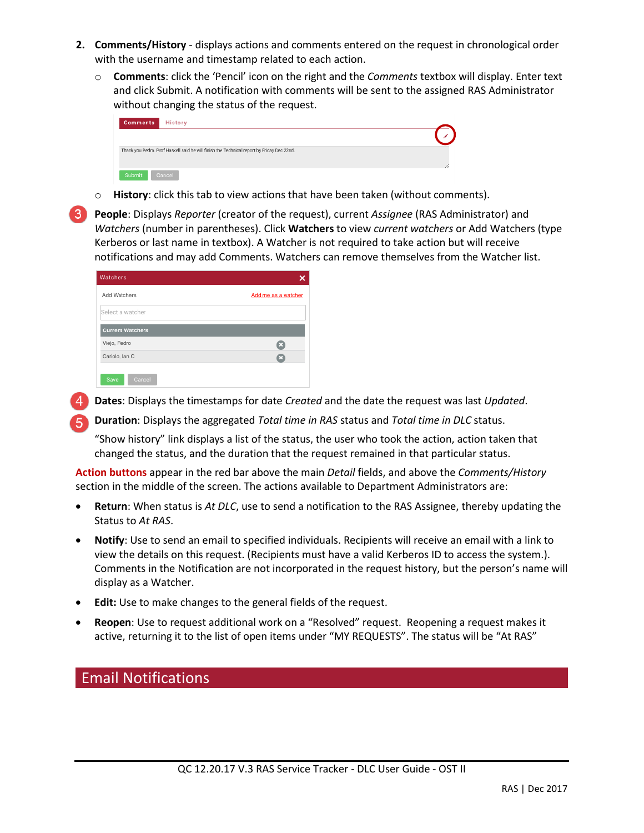- **2. Comments/History** displays actions and comments entered on the request in chronological order with the username and timestamp related to each action.
	- o **Comments**: click the 'Pencil' icon on the right and the *Comments* textbox will display. Enter text and click Submit. A notification with comments will be sent to the assigned RAS Administrator without changing the status of the request.

| <b>Comments</b><br><b>History</b>                                                          |  |
|--------------------------------------------------------------------------------------------|--|
|                                                                                            |  |
| Thank you Pedro. Prof Haskell said he will finish the Technical report by Friday Dec 22nd. |  |
| Cancel<br>Submit                                                                           |  |

o **History**: click this tab to view actions that have been taken (without comments).

• **People**: Displays *Reporter* (creator of the request), current *Assignee* (RAS Administrator) and *Watchers* (number in parentheses). Click **Watchers** to view *current watchers* or Add Watchers (type Kerberos or last name in textbox). A Watcher is not required to take action but will receive notifications and may add Comments. Watchers can remove themselves from the Watcher list.

| Watchers                |                     |
|-------------------------|---------------------|
| Add Watchers            | Add me as a watcher |
| Select a watcher        |                     |
| <b>Current Watchers</b> |                     |
| Viejo, Pedro            | Q                   |
| Cariolo, lan C          | ø                   |
| Cancel<br>Save          |                     |

**3. Dates**: Displays the timestamps for date *Created* and the date the request was last *Updated*.

**4. Duration**: Displays the aggregated *Total time in RAS* status and *Total time in DLC* status.

"Show history" link displays a list of the status, the user who took the action, action taken that changed the status, and the duration that the request remained in that particular status.

**Action buttons** appear in the red bar above the main *Detail* fields, and above the *Comments/History* section in the middle of the screen. The actions available to Department Administrators are:

- **Return**: When status is *At DLC*, use to send a notification to the RAS Assignee, thereby updating the Status to *At RAS*.
- **Notify**: Use to send an email to specified individuals. Recipients will receive an email with a link to view the details on this request. (Recipients must have a valid Kerberos ID to access the system.). Comments in the Notification are not incorporated in the request history, but the person's name will display as a Watcher.
- **Edit:** Use to make changes to the general fields of the request.
- **Reopen**: Use to request additional work on a "Resolved" request. Reopening a request makes it active, returning it to the list of open items under "MY REQUESTS". The status will be "At RAS"

# Email Notifications